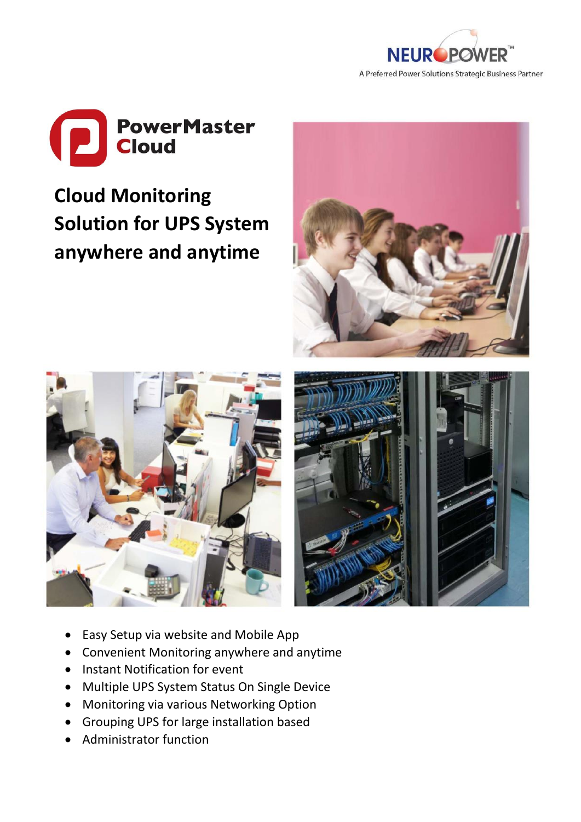



## **Cloud Monitoring Solution for UPS System anywhere and anytime**







- Easy Setup via website and Mobile App
- Convenient Monitoring anywhere and anytime
- Instant Notification for event
- Multiple UPS System Status On Single Device
- Monitoring via various Networking Option
- Grouping UPS for large installation based
- Administrator function